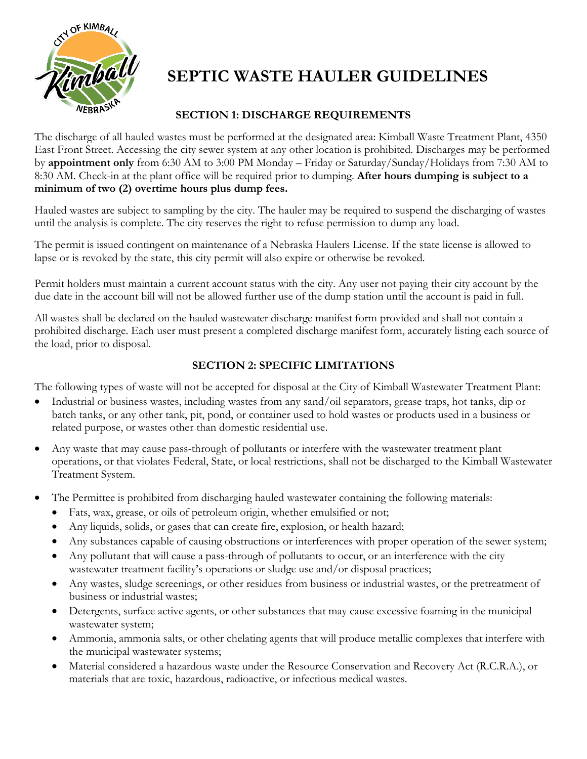

# **SEPTIC WASTE HAULER GUIDELINES**

# **SECTION 1: DISCHARGE REQUIREMENTS**

The discharge of all hauled wastes must be performed at the designated area: Kimball Waste Treatment Plant, 4350 East Front Street. Accessing the city sewer system at any other location is prohibited. Discharges may be performed by **appointment only** from 6:30 AM to 3:00 PM Monday – Friday or Saturday/Sunday/Holidays from 7:30 AM to 8:30 AM. Check-in at the plant office will be required prior to dumping. **After hours dumping is subject to a minimum of two (2) overtime hours plus dump fees.**

Hauled wastes are subject to sampling by the city. The hauler may be required to suspend the discharging of wastes until the analysis is complete. The city reserves the right to refuse permission to dump any load.

The permit is issued contingent on maintenance of a Nebraska Haulers License. If the state license is allowed to lapse or is revoked by the state, this city permit will also expire or otherwise be revoked.

Permit holders must maintain a current account status with the city. Any user not paying their city account by the due date in the account bill will not be allowed further use of the dump station until the account is paid in full.

All wastes shall be declared on the hauled wastewater discharge manifest form provided and shall not contain a prohibited discharge. Each user must present a completed discharge manifest form, accurately listing each source of the load, prior to disposal.

# **SECTION 2: SPECIFIC LIMITATIONS**

The following types of waste will not be accepted for disposal at the City of Kimball Wastewater Treatment Plant:

- Industrial or business wastes, including wastes from any sand/oil separators, grease traps, hot tanks, dip or batch tanks, or any other tank, pit, pond, or container used to hold wastes or products used in a business or related purpose, or wastes other than domestic residential use.
- Any waste that may cause pass-through of pollutants or interfere with the wastewater treatment plant operations, or that violates Federal, State, or local restrictions, shall not be discharged to the Kimball Wastewater Treatment System.
- The Permittee is prohibited from discharging hauled wastewater containing the following materials:
	- Fats, wax, grease, or oils of petroleum origin, whether emulsified or not;
	- Any liquids, solids, or gases that can create fire, explosion, or health hazard;
	- Any substances capable of causing obstructions or interferences with proper operation of the sewer system;
	- Any pollutant that will cause a pass-through of pollutants to occur, or an interference with the city wastewater treatment facility's operations or sludge use and/or disposal practices;
	- Any wastes, sludge screenings, or other residues from business or industrial wastes, or the pretreatment of business or industrial wastes;
	- Detergents, surface active agents, or other substances that may cause excessive foaming in the municipal wastewater system;
	- Ammonia, ammonia salts, or other chelating agents that will produce metallic complexes that interfere with the municipal wastewater systems;
	- Material considered a hazardous waste under the Resource Conservation and Recovery Act (R.C.R.A.), or materials that are toxic, hazardous, radioactive, or infectious medical wastes.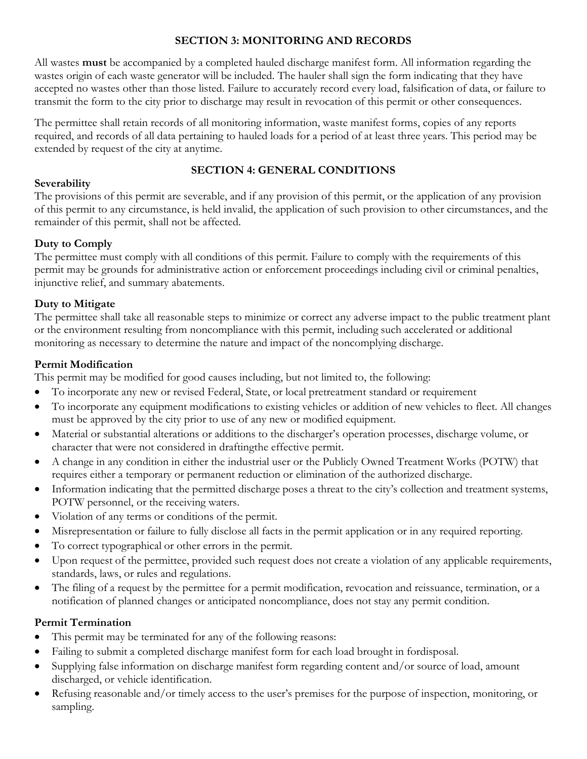## **SECTION 3: MONITORING AND RECORDS**

All wastes **must** be accompanied by a completed hauled discharge manifest form. All information regarding the wastes origin of each waste generator will be included. The hauler shall sign the form indicating that they have accepted no wastes other than those listed. Failure to accurately record every load, falsification of data, or failure to transmit the form to the city prior to discharge may result in revocation of this permit or other consequences.

The permittee shall retain records of all monitoring information, waste manifest forms, copies of any reports required, and records of all data pertaining to hauled loads for a period of at least three years. This period may be extended by request of the city at anytime.

## **SECTION 4: GENERAL CONDITIONS**

## **Severability**

The provisions of this permit are severable, and if any provision of this permit, or the application of any provision of this permit to any circumstance, is held invalid, the application of such provision to other circumstances, and the remainder of this permit, shall not be affected.

# **Duty to Comply**

The permittee must comply with all conditions of this permit. Failure to comply with the requirements of this permit may be grounds for administrative action or enforcement proceedings including civil or criminal penalties, injunctive relief, and summary abatements.

# **Duty to Mitigate**

The permittee shall take all reasonable steps to minimize or correct any adverse impact to the public treatment plant or the environment resulting from noncompliance with this permit, including such accelerated or additional monitoring as necessary to determine the nature and impact of the noncomplying discharge.

## **Permit Modification**

This permit may be modified for good causes including, but not limited to, the following:

- To incorporate any new or revised Federal, State, or local pretreatment standard or requirement
- To incorporate any equipment modifications to existing vehicles or addition of new vehicles to fleet. All changes must be approved by the city prior to use of any new or modified equipment.
- Material or substantial alterations or additions to the discharger's operation processes, discharge volume, or character that were not considered in draftingthe effective permit.
- A change in any condition in either the industrial user or the Publicly Owned Treatment Works (POTW) that requires either a temporary or permanent reduction or elimination of the authorized discharge.
- Information indicating that the permitted discharge poses a threat to the city's collection and treatment systems, POTW personnel, or the receiving waters.
- Violation of any terms or conditions of the permit.
- Misrepresentation or failure to fully disclose all facts in the permit application or in any required reporting.
- To correct typographical or other errors in the permit.
- Upon request of the permittee, provided such request does not create a violation of any applicable requirements, standards, laws, or rules and regulations.
- The filing of a request by the permittee for a permit modification, revocation and reissuance, termination, or a notification of planned changes or anticipated noncompliance, does not stay any permit condition.

# **Permit Termination**

- This permit may be terminated for any of the following reasons:
- Failing to submit a completed discharge manifest form for each load brought in fordisposal.
- Supplying false information on discharge manifest form regarding content and/or source of load, amount discharged, or vehicle identification.
- Refusing reasonable and/or timely access to the user's premises for the purpose of inspection, monitoring, or sampling.